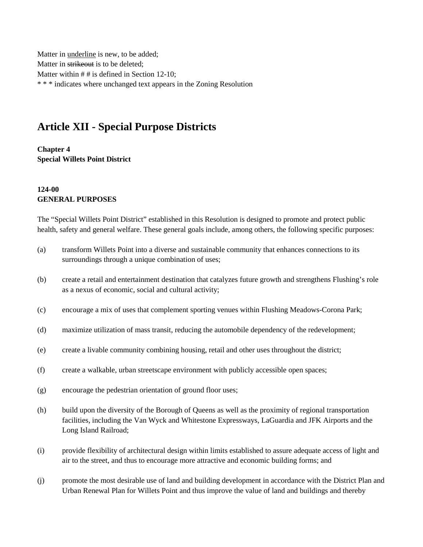Matter in underline is new, to be added; Matter in strikeout is to be deleted; Matter within # # is defined in Section 12-10; \* \* \* indicates where unchanged text appears in the Zoning Resolution

# **Article XII - Special Purpose Districts**

**Chapter 4 Special Willets Point District**

## **124-00 GENERAL PURPOSES**

The "Special Willets Point District" established in this Resolution is designed to promote and protect public health, safety and general welfare. These general goals include, among others, the following specific purposes:

- (a) transform Willets Point into a diverse and sustainable community that enhances connections to its surroundings through a unique combination of uses;
- (b) create a retail and entertainment destination that catalyzes future growth and strengthens Flushing's role as a nexus of economic, social and cultural activity;
- (c) encourage a mix of uses that complement sporting venues within Flushing Meadows-Corona Park;
- (d) maximize utilization of mass transit, reducing the automobile dependency of the redevelopment;
- (e) create a livable community combining housing, retail and other uses throughout the district;
- (f) create a walkable, urban streetscape environment with publicly accessible open spaces;
- (g) encourage the pedestrian orientation of ground floor uses;
- (h) build upon the diversity of the Borough of Queens as well as the proximity of regional transportation facilities, including the Van Wyck and Whitestone Expressways, LaGuardia and JFK Airports and the Long Island Railroad;
- (i) provide flexibility of architectural design within limits established to assure adequate access of light and air to the street, and thus to encourage more attractive and economic building forms; and
- (j) promote the most desirable use of land and building development in accordance with the District Plan and Urban Renewal Plan for Willets Point and thus improve the value of land and buildings and thereby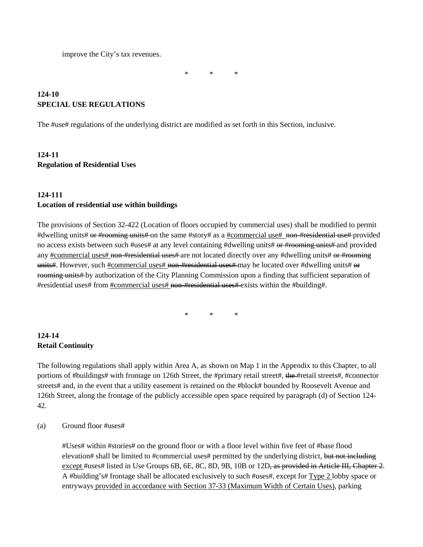improve the City's tax revenues.

\* \* \*

## **124-10 SPECIAL USE REGULATIONS**

The #use# regulations of the underlying district are modified as set forth in this Section, inclusive.

# **124-11 Regulation of Residential Uses**

## **124-111**

#### **Location of residential use within buildings**

The provisions of Section 32-422 (Location of floors occupied by commercial uses) shall be modified to permit #dwelling units# or #rooming units# on the same #story# as a #commercial use# non-#residential use# provided no access exists between such #uses# at any level containing #dwelling units# or #rooming units# and provided any #commercial uses# non-#residential uses# are not located directly over any #dwelling units# or #rooming units#. However, such #commercial uses# non-#residential uses# may be located over #dwelling units# or rooming units# by authorization of the City Planning Commission upon a finding that sufficient separation of #residential uses# from #commercial uses# non-#residential uses# exists within the #building#.

\* \* \*

## **124-14 Retail Continuity**

The following regulations shall apply within Area A, as shown on Map 1 in the Appendix to this Chapter, to all portions of #buildings# with frontage on 126th Street, the #primary retail street#, the #retail streets#, #connector streets# and, in the event that a utility easement is retained on the #block# bounded by Roosevelt Avenue and 126th Street, along the frontage of the publicly accessible open space required by paragraph (d) of Section 124- 42.

#### (a) Ground floor #uses#

#Uses# within #stories# on the ground floor or with a floor level within five feet of #base flood elevation# shall be limited to #commercial uses# permitted by the underlying district, but not including except #uses# listed in Use Groups 6B, 6E, 8C, 8D, 9B, 10B or 12D<del>, as provided in Article III, Chapter 2</del>. A #building's# frontage shall be allocated exclusively to such #uses#, except for Type 2 lobby space or entryways provided in accordance with Section 37-33 (Maximum Width of Certain Uses), parking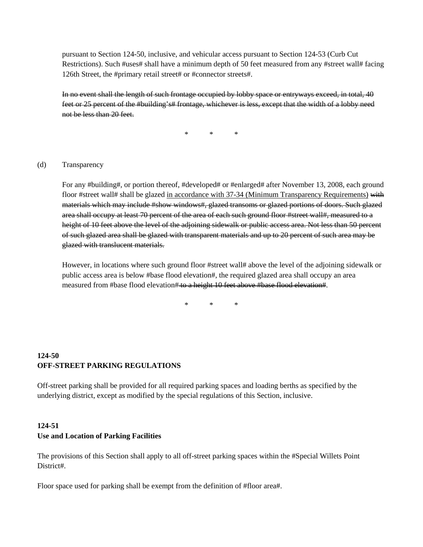pursuant to Section 124-50, inclusive, and vehicular access pursuant to Section 124-53 (Curb Cut Restrictions). Such #uses# shall have a minimum depth of 50 feet measured from any #street wall# facing 126th Street, the #primary retail street# or #connector streets#.

In no event shall the length of such frontage occupied by lobby space or entryways exceed, in total, 40 feet or 25 percent of the #building's# frontage, whichever is less, except that the width of a lobby need not be less than 20 feet.

\* \* \*

#### (d) Transparency

For any #building#, or portion thereof, #developed# or #enlarged# after November 13, 2008, each ground floor #street wall# shall be glazed in accordance with 37-34 (Minimum Transparency Requirements) with materials which may include #show windows#, glazed transoms or glazed portions of doors. Such glazed area shall occupy at least 70 percent of the area of each such ground floor #street wall#, measured to a height of 10 feet above the level of the adjoining sidewalk or public access area. Not less than 50 percent of such glazed area shall be glazed with transparent materials and up to 20 percent of such area may be glazed with translucent materials.

However, in locations where such ground floor #street wall# above the level of the adjoining sidewalk or public access area is below #base flood elevation#, the required glazed area shall occupy an area measured from #base flood elevation# to a height 10 feet above #base flood elevation#.

\* \* \*

## **124-50 OFF-STREET PARKING REGULATIONS**

Off-street parking shall be provided for all required parking spaces and loading berths as specified by the underlying district, except as modified by the special regulations of this Section, inclusive.

## **124-51 Use and Location of Parking Facilities**

The provisions of this Section shall apply to all off-street parking spaces within the #Special Willets Point District#.

Floor space used for parking shall be exempt from the definition of #floor area#.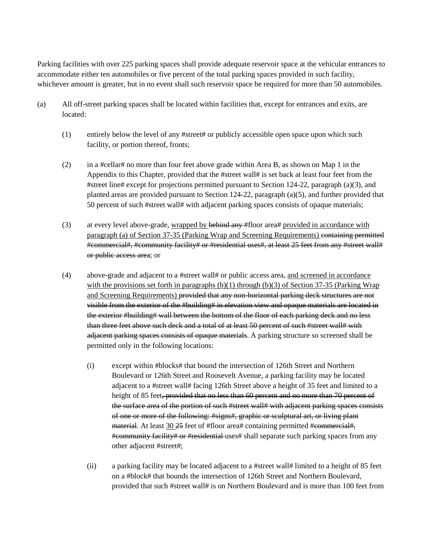Parking facilities with over 225 parking spaces shall provide adequate reservoir space at the vehicular entrances to accommodate either ten automobiles or five percent of the total parking spaces provided in such facility, whichever amount is greater, but in no event shall such reservoir space be required for more than 50 automobiles.

- (a) All off-street parking spaces shall be located within facilities that, except for entrances and exits, are located:
	- (1) entirely below the level of any #street# or publicly accessible open space upon which such facility, or portion thereof, fronts;
	- (2) in a #cellar# no more than four feet above grade within Area B, as shown on Map 1 in the Appendix to this Chapter, provided that the #street wall# is set back at least four feet from the #street line# except for projections permitted pursuant to Section 124-22, paragraph (a)(3), and planted areas are provided pursuant to Section 124-22, paragraph (a)(5), and further provided that 50 percent of such #street wall# with adjacent parking spaces consists of opaque materials;
	- (3) at every level above-grade, wrapped by behind any #floor area# provided in accordance with paragraph (a) of Section 37-35 (Parking Wrap and Screening Requirements) containing permitted #commercial#, #community facility# or #residential uses#, at least 25 feet from any #street wall# or public access area; or
	- (4) above-grade and adjacent to a #street wall# or public access area, and screened in accordance with the provisions set forth in paragraphs (b)(1) through (b)(3) of Section 37-35 (Parking Wrap and Screening Requirements) provided that any non-horizontal parking deck structures are not visible from the exterior of the #building# in elevation view and opaque materials are located in the exterior #building# wall between the bottom of the floor of each parking deck and no less than three feet above such deck and a total of at least 50 percent of such #street wall# with adjacent parking spaces consists of opaque materials. A parking structure so screened shall be permitted only in the following locations:
		- (i) except within #blocks# that bound the intersection of 126th Street and Northern Boulevard or 126th Street and Roosevelt Avenue, a parking facility may be located adjacent to a #street wall# facing 126th Street above a height of 35 feet and limited to a height of 85 feet, provided that no less than 60 percent and no more than 70 percent of the surface area of the portion of such #street wall# with adjacent parking spaces consists of one or more of the following: #signs#, graphic or sculptural art, or living plant material. At least 30 25 feet of #floor area# containing permitted #commercial#, #community facility# or #residential uses# shall separate such parking spaces from any other adjacent #street#;
		- (ii) a parking facility may be located adjacent to a #street wall# limited to a height of 85 feet on a #block# that bounds the intersection of 126th Street and Northern Boulevard, provided that such #street wall# is on Northern Boulevard and is more than 100 feet from